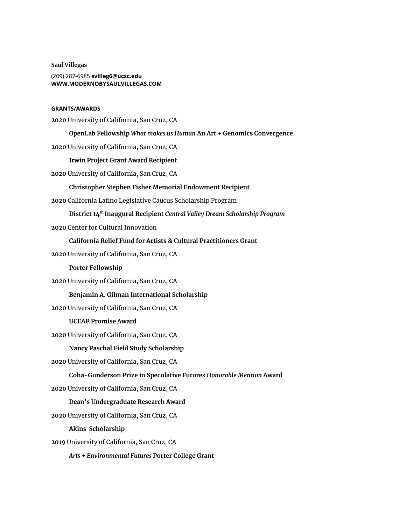**Saul Villegas** (209) 287-6985 **svilleg6@ucsc.edu [WWW.MODERNOBYSAULVILLEGAS.COM](https://www.modernobysaulvillegas.com/)**

## **GRANTS/AWARDS**

**2020** University of California, San Cruz, CA

**OpenLab Fellowship** *What makes us Human* **An Art + Genomics Convergence**

**2020** University of California, San Cruz, CA

## **Irwin Project Grant Award Recipient**

**2020** University of California, San Cruz, CA

### **Christopher Stephen Fisher Memorial Endowment Recipient**

**2020** California Latino Legislative Caucus Scholarship Program

**District 14 th Inaugural Recipient** *Central Valley Dream Scholarship Program*

**2020** Center for Cultural Innovation

**California Relief Fund for Artists & Cultural Practitioners Grant**

**2020** University of California, San Cruz, CA

#### **Porter Fellowship**

**2020** University of California, San Cruz, CA

### **Benjamin A. Gilman International Scholarship**

**2020** University of California, San Cruz, CA

# **UCEAP Promise Award**

**2020** University of California, San Cruz, CA

### **Nancy Paschal Field Study Scholarship**

**2020** University of California, San Cruz, CA

### **Coha-Gunderson Prize in Speculative Futures** *Honorable Mention* **Award**

**2020** University of California, San Cruz, CA

#### **Dean's Undergraduate Research Award**

**2020** University of California, San Cruz, CA

**Akins Scholarship**

**2019** University of California, San Cruz, CA

*Arts + Environmental Futures* **Porter College Grant**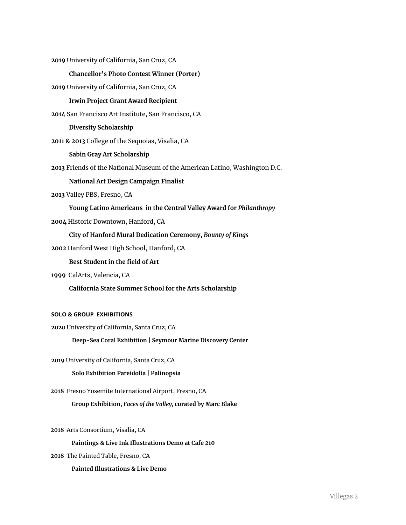**2019** University of California, San Cruz, CA

### **Chancellor's Photo Contest Winner (Porter)**

**2019** University of California, San Cruz, CA

## **Irwin Project Grant Award Recipient**

**2014** San Francisco Art Institute, San Francisco, CA

**Diversity Scholarship**

**2011 & 2013** College of the Sequoias, Visalia, CA

### **Sabin Gray Art Scholarship**

**2013** Friends of the National Museum of the American Latino, Washington D.C.

### **National Art Design Campaign Finalist**

**2013** Valley PBS, Fresno, CA

**Young Latino Americans in the Central Valley Award for** *Philanthropy*

**2004** Historic Downtown, Hanford, CA

## **City of Hanford Mural Dedication Ceremony,** *Bounty of Kings*

**2002** Hanford West High School, Hanford, CA

## **Best Student in the field of Art**

**1999** CalArts, Valencia, CA

**California State Summer School for the Arts Scholarship**

# **SOLO & GROUP EXHIBITIONS**

**2020** University of California, Santa Cruz, CA

**Deep-Sea Coral Exhibition | Seymour Marine Discovery Center**

**2019** University of California, Santa Cruz, CA

## **Solo Exhibition Pareidolia | Palinopsia**

**2018** Fresno Yosemite International Airport, Fresno, CA

**Group Exhibition,** *Faces of the Valley,* **curated by Marc Blake**

**2018** Arts Consortium, Visalia, CA

### **Paintings & Live Ink Illustrations Demo at Cafe 210**

**2018** The Painted Table, Fresno, CA

**Painted Illustrations & Live Demo**